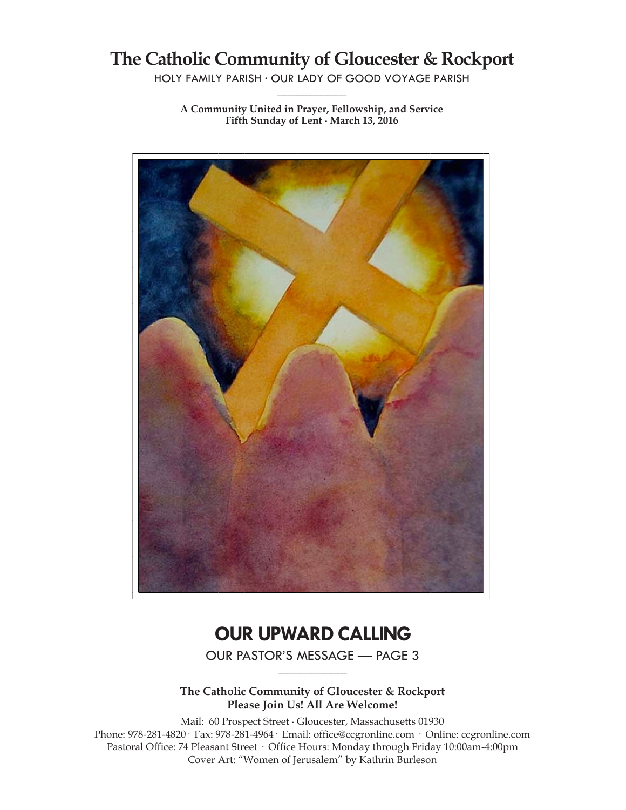# **The Catholic Community of Gloucester & Rockport**

HOLY FAMILY PARISH ∙ OUR LADY OF GOOD VOYAGE PARISH **\_\_\_\_\_\_\_\_\_\_\_\_\_\_\_\_\_\_\_\_\_\_\_\_\_\_\_\_\_**

**A Community United in Prayer, Fellowship, and Service Fifth Sunday of Lent ∙ March 13, 2016**



# **OUR UPWARD CALLING**

OUR PASTOR'S MESSAGE — PAGE 3 **\_\_\_\_\_\_\_\_\_\_\_\_\_\_\_\_\_\_\_\_\_\_\_\_\_\_\_\_\_**

**The Catholic Community of Gloucester & Rockport Please Join Us! All Are Welcome!**

Mail: 60 Prospect Street ∙ Gloucester, Massachusetts 01930 Phone: 978-281-4820· Fax: 978-281-4964· Email: office@ccgronline.com · Online: ccgronline.com Pastoral Office: 74 Pleasant Street · Office Hours: Monday through Friday 10:00am-4:00pm Cover Art: "Women of Jerusalem" by Kathrin Burleson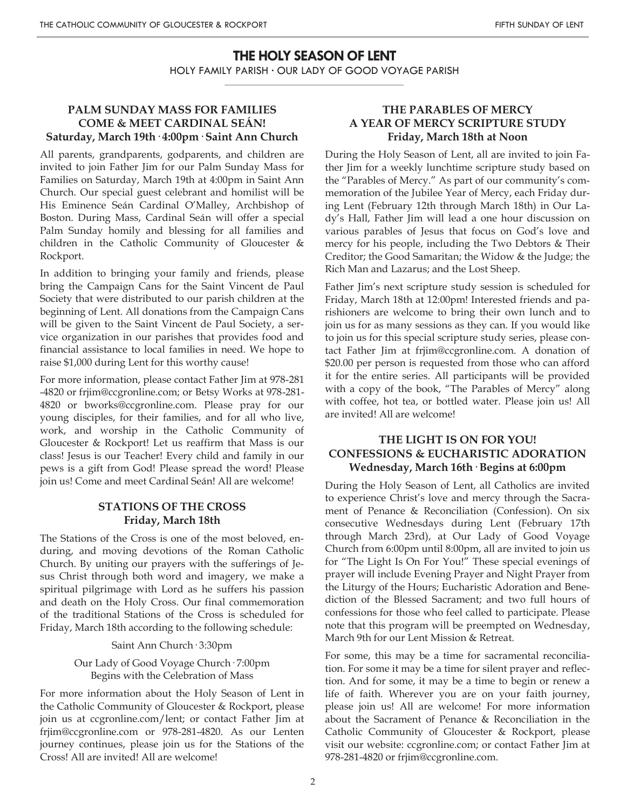# **THE HOLY SEASON OF LENT**

HOLY FAMILY PARISH ∙ OUR LADY OF GOOD VOYAGE PARISH **\_\_\_\_\_\_\_\_\_\_\_\_\_\_\_\_\_\_\_\_\_\_\_\_\_\_\_\_\_\_\_\_\_\_\_\_\_\_\_\_\_\_\_\_\_\_\_\_\_\_**

# **PALM SUNDAY MASS FOR FAMILIES COME & MEET CARDINAL SEÁN! Saturday, March 19th· 4:00pm· Saint Ann Church**

All parents, grandparents, godparents, and children are invited to join Father Jim for our Palm Sunday Mass for Families on Saturday, March 19th at 4:00pm in Saint Ann Church. Our special guest celebrant and homilist will be His Eminence Seán Cardinal O'Malley, Archbishop of Boston. During Mass, Cardinal Seán will offer a special Palm Sunday homily and blessing for all families and children in the Catholic Community of Gloucester & Rockport.

In addition to bringing your family and friends, please bring the Campaign Cans for the Saint Vincent de Paul Society that were distributed to our parish children at the beginning of Lent. All donations from the Campaign Cans will be given to the Saint Vincent de Paul Society, a service organization in our parishes that provides food and financial assistance to local families in need. We hope to raise \$1,000 during Lent for this worthy cause!

For more information, please contact Father Jim at 978-281 -4820 or frjim@ccgronline.com; or Betsy Works at 978-281- 4820 or bworks@ccgronline.com. Please pray for our young disciples, for their families, and for all who live, work, and worship in the Catholic Community of Gloucester & Rockport! Let us reaffirm that Mass is our class! Jesus is our Teacher! Every child and family in our pews is a gift from God! Please spread the word! Please join us! Come and meet Cardinal Seán! All are welcome!

### **STATIONS OF THE CROSS Friday, March 18th**

The Stations of the Cross is one of the most beloved, enduring, and moving devotions of the Roman Catholic Church. By uniting our prayers with the sufferings of Jesus Christ through both word and imagery, we make a spiritual pilgrimage with Lord as he suffers his passion and death on the Holy Cross. Our final commemoration of the traditional Stations of the Cross is scheduled for Friday, March 18th according to the following schedule:

#### Saint Ann Church· 3:30pm

### Our Lady of Good Voyage Church· 7:00pm Begins with the Celebration of Mass

For more information about the Holy Season of Lent in the Catholic Community of Gloucester & Rockport, please join us at ccgronline.com/lent; or contact Father Jim at frjim@ccgronline.com or 978-281-4820. As our Lenten journey continues, please join us for the Stations of the Cross! All are invited! All are welcome!

# **THE PARABLES OF MERCY A YEAR OF MERCY SCRIPTURE STUDY Friday, March 18th at Noon**

During the Holy Season of Lent, all are invited to join Father Jim for a weekly lunchtime scripture study based on the "Parables of Mercy." As part of our community's commemoration of the Jubilee Year of Mercy, each Friday during Lent (February 12th through March 18th) in Our Lady's Hall, Father Jim will lead a one hour discussion on various parables of Jesus that focus on God's love and mercy for his people, including the Two Debtors & Their Creditor; the Good Samaritan; the Widow & the Judge; the Rich Man and Lazarus; and the Lost Sheep.

Father Jim's next scripture study session is scheduled for Friday, March 18th at 12:00pm! Interested friends and parishioners are welcome to bring their own lunch and to join us for as many sessions as they can. If you would like to join us for this special scripture study series, please contact Father Jim at frjim@ccgronline.com. A donation of \$20.00 per person is requested from those who can afford it for the entire series. All participants will be provided with a copy of the book, "The Parables of Mercy" along with coffee, hot tea, or bottled water. Please join us! All are invited! All are welcome!

## **THE LIGHT IS ON FOR YOU! CONFESSIONS & EUCHARISTIC ADORATION Wednesday, March 16th· Begins at 6:00pm**

During the Holy Season of Lent, all Catholics are invited to experience Christ's love and mercy through the Sacrament of Penance & Reconciliation (Confession). On six consecutive Wednesdays during Lent (February 17th through March 23rd), at Our Lady of Good Voyage Church from 6:00pm until 8:00pm, all are invited to join us for "The Light Is On For You!" These special evenings of prayer will include Evening Prayer and Night Prayer from the Liturgy of the Hours; Eucharistic Adoration and Benediction of the Blessed Sacrament; and two full hours of confessions for those who feel called to participate. Please note that this program will be preempted on Wednesday, March 9th for our Lent Mission & Retreat.

For some, this may be a time for sacramental reconciliation. For some it may be a time for silent prayer and reflection. And for some, it may be a time to begin or renew a life of faith. Wherever you are on your faith journey, please join us! All are welcome! For more information about the Sacrament of Penance & Reconciliation in the Catholic Community of Gloucester & Rockport, please visit our website: ccgronline.com; or contact Father Jim at 978-281-4820 or frjim@ccgronline.com.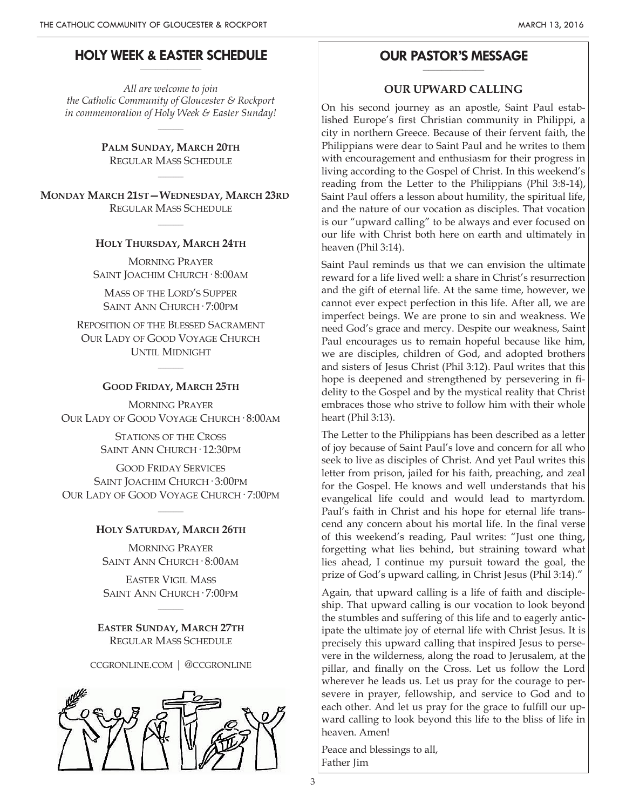#### **HOLY WEEK & EASTER SCHEDULE \_\_\_\_\_\_\_\_\_\_\_\_\_\_\_\_\_\_\_\_**

*All are welcome to join the Catholic Community of Gloucester & Rockport in commemoration of Holy Week & Easter Sunday!*

 $\overline{\phantom{a}}$ 

**PALM SUNDAY, MARCH 20TH** REGULAR MASS SCHEDULE

 $\overline{\phantom{a}}$ 

**MONDAY MARCH 21ST—WEDNESDAY, MARCH 23RD** REGULAR MASS SCHEDULE

#### **HOLY THURSDAY, MARCH 24TH**

 $\overline{\phantom{a}}$ 

MORNING PRAYER SAINT JOACHIM CHURCH· 8:00AM

MASS OF THE LORD'S SUPPER SAINT ANN CHURCH· 7:00PM

REPOSITION OF THE BLESSED SACRAMENT OUR LADY OF GOOD VOYAGE CHURCH UNTIL MIDNIGHT

# $\overline{\phantom{a}}$ **GOOD FRIDAY, MARCH 25TH**

MORNING PRAYER OUR LADY OF GOOD VOYAGE CHURCH· 8:00AM

> STATIONS OF THE CROSS SAINT ANN CHURCH· 12:30PM

GOOD FRIDAY SERVICES SAINT JOACHIM CHURCH· 3:00PM OUR LADY OF GOOD VOYAGE CHURCH· 7:00PM

# $\overline{\phantom{a}}$ **HOLY SATURDAY, MARCH 26TH**

MORNING PRAYER SAINT ANN CHURCH· 8:00AM

EASTER VIGIL MASS SAINT ANN CHURCH· 7:00PM

 $\sim$ 

**EASTER SUNDAY, MARCH 27TH** REGULAR MASS SCHEDULE

CCGRONLINE.COM | @CCGRONLINE



#### **OUR PASTOR'S MESSAGE \_\_\_\_\_\_\_\_\_\_\_\_\_\_\_\_\_\_\_\_**

#### **OUR UPWARD CALLING**

On his second journey as an apostle, Saint Paul established Europe's first Christian community in Philippi, a city in northern Greece. Because of their fervent faith, the Philippians were dear to Saint Paul and he writes to them with encouragement and enthusiasm for their progress in living according to the Gospel of Christ. In this weekend's reading from the Letter to the Philippians (Phil 3:8-14), Saint Paul offers a lesson about humility, the spiritual life, and the nature of our vocation as disciples. That vocation is our "upward calling" to be always and ever focused on our life with Christ both here on earth and ultimately in heaven (Phil 3:14).

Saint Paul reminds us that we can envision the ultimate reward for a life lived well: a share in Christ's resurrection and the gift of eternal life. At the same time, however, we cannot ever expect perfection in this life. After all, we are imperfect beings. We are prone to sin and weakness. We need God's grace and mercy. Despite our weakness, Saint Paul encourages us to remain hopeful because like him, we are disciples, children of God, and adopted brothers and sisters of Jesus Christ (Phil 3:12). Paul writes that this hope is deepened and strengthened by persevering in fidelity to the Gospel and by the mystical reality that Christ embraces those who strive to follow him with their whole heart (Phil 3:13).

The Letter to the Philippians has been described as a letter of joy because of Saint Paul's love and concern for all who seek to live as disciples of Christ. And yet Paul writes this letter from prison, jailed for his faith, preaching, and zeal for the Gospel. He knows and well understands that his evangelical life could and would lead to martyrdom. Paul's faith in Christ and his hope for eternal life transcend any concern about his mortal life. In the final verse of this weekend's reading, Paul writes: "Just one thing, forgetting what lies behind, but straining toward what lies ahead, I continue my pursuit toward the goal, the prize of God's upward calling, in Christ Jesus (Phil 3:14)."

Again, that upward calling is a life of faith and discipleship. That upward calling is our vocation to look beyond the stumbles and suffering of this life and to eagerly anticipate the ultimate joy of eternal life with Christ Jesus. It is precisely this upward calling that inspired Jesus to persevere in the wilderness, along the road to Jerusalem, at the pillar, and finally on the Cross. Let us follow the Lord wherever he leads us. Let us pray for the courage to persevere in prayer, fellowship, and service to God and to each other. And let us pray for the grace to fulfill our upward calling to look beyond this life to the bliss of life in heaven. Amen!

Peace and blessings to all, Father Jim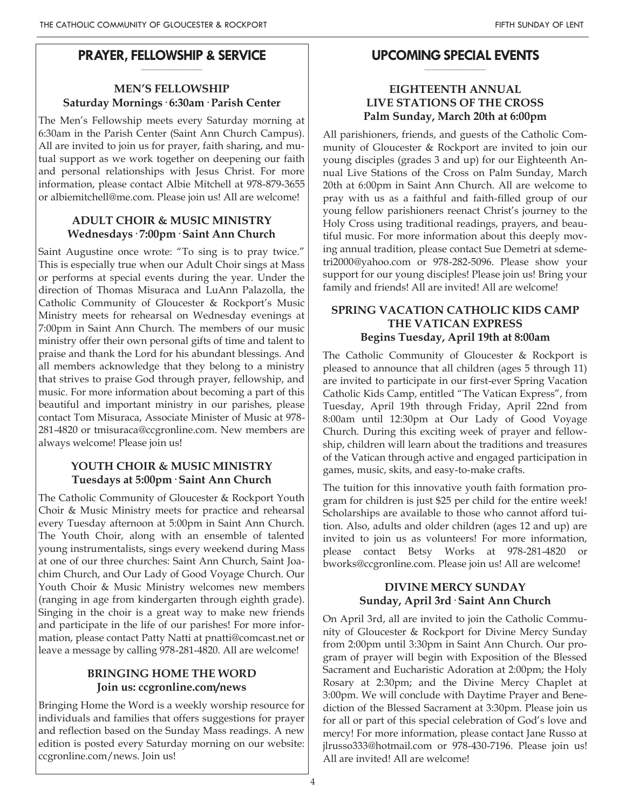### **PRAYER, FELLOWSHIP & SERVICE \_\_\_\_\_\_\_\_\_\_\_\_\_\_\_\_\_\_\_\_**

# **MEN'S FELLOWSHIP Saturday Mornings· 6:30am· Parish Center**

The Men's Fellowship meets every Saturday morning at 6:30am in the Parish Center (Saint Ann Church Campus). All are invited to join us for prayer, faith sharing, and mutual support as we work together on deepening our faith and personal relationships with Jesus Christ. For more information, please contact Albie Mitchell at 978-879-3655 or albiemitchell@me.com. Please join us! All are welcome!

# **ADULT CHOIR & MUSIC MINISTRY Wednesdays· 7:00pm· Saint Ann Church**

Saint Augustine once wrote: "To sing is to pray twice." This is especially true when our Adult Choir sings at Mass or performs at special events during the year. Under the direction of Thomas Misuraca and LuAnn Palazolla, the Catholic Community of Gloucester & Rockport's Music Ministry meets for rehearsal on Wednesday evenings at 7:00pm in Saint Ann Church. The members of our music ministry offer their own personal gifts of time and talent to praise and thank the Lord for his abundant blessings. And all members acknowledge that they belong to a ministry that strives to praise God through prayer, fellowship, and music. For more information about becoming a part of this beautiful and important ministry in our parishes, please contact Tom Misuraca, Associate Minister of Music at 978- 281-4820 or tmisuraca@ccgronline.com. New members are always welcome! Please join us!

# **YOUTH CHOIR & MUSIC MINISTRY Tuesdays at 5:00pm· Saint Ann Church**

The Catholic Community of Gloucester & Rockport Youth Choir & Music Ministry meets for practice and rehearsal every Tuesday afternoon at 5:00pm in Saint Ann Church. The Youth Choir, along with an ensemble of talented young instrumentalists, sings every weekend during Mass at one of our three churches: Saint Ann Church, Saint Joachim Church, and Our Lady of Good Voyage Church. Our Youth Choir & Music Ministry welcomes new members (ranging in age from kindergarten through eighth grade). Singing in the choir is a great way to make new friends and participate in the life of our parishes! For more information, please contact Patty Natti at pnatti@comcast.net or leave a message by calling 978-281-4820. All are welcome!

# **BRINGING HOME THE WORD Join us: ccgronline.com/news**

Bringing Home the Word is a weekly worship resource for individuals and families that offers suggestions for prayer and reflection based on the Sunday Mass readings. A new edition is posted every Saturday morning on our website: ccgronline.com/news. Join us!

#### **UPCOMING SPECIAL EVENTS \_\_\_\_\_\_\_\_\_\_\_\_\_\_\_\_\_\_\_\_**

# **EIGHTEENTH ANNUAL LIVE STATIONS OF THE CROSS Palm Sunday, March 20th at 6:00pm**

All parishioners, friends, and guests of the Catholic Community of Gloucester & Rockport are invited to join our young disciples (grades 3 and up) for our Eighteenth Annual Live Stations of the Cross on Palm Sunday, March 20th at 6:00pm in Saint Ann Church. All are welcome to pray with us as a faithful and faith-filled group of our young fellow parishioners reenact Christ's journey to the Holy Cross using traditional readings, prayers, and beautiful music. For more information about this deeply moving annual tradition, please contact Sue Demetri at sdemetri2000@yahoo.com or 978-282-5096. Please show your support for our young disciples! Please join us! Bring your family and friends! All are invited! All are welcome!

# **SPRING VACATION CATHOLIC KIDS CAMP THE VATICAN EXPRESS Begins Tuesday, April 19th at 8:00am**

The Catholic Community of Gloucester & Rockport is pleased to announce that all children (ages 5 through 11) are invited to participate in our first-ever Spring Vacation Catholic Kids Camp, entitled "The Vatican Express", from Tuesday, April 19th through Friday, April 22nd from 8:00am until 12:30pm at Our Lady of Good Voyage Church. During this exciting week of prayer and fellowship, children will learn about the traditions and treasures of the Vatican through active and engaged participation in games, music, skits, and easy-to-make crafts.

The tuition for this innovative youth faith formation program for children is just \$25 per child for the entire week! Scholarships are available to those who cannot afford tuition. Also, adults and older children (ages 12 and up) are invited to join us as volunteers! For more information, please contact Betsy Works at 978-281-4820 or bworks@ccgronline.com. Please join us! All are welcome!

# **DIVINE MERCY SUNDAY Sunday, April 3rd· Saint Ann Church**

On April 3rd, all are invited to join the Catholic Community of Gloucester & Rockport for Divine Mercy Sunday from 2:00pm until 3:30pm in Saint Ann Church. Our program of prayer will begin with Exposition of the Blessed Sacrament and Eucharistic Adoration at 2:00pm; the Holy Rosary at 2:30pm; and the Divine Mercy Chaplet at 3:00pm. We will conclude with Daytime Prayer and Benediction of the Blessed Sacrament at 3:30pm. Please join us for all or part of this special celebration of God's love and mercy! For more information, please contact Jane Russo at jlrusso333@hotmail.com or 978-430-7196. Please join us! All are invited! All are welcome!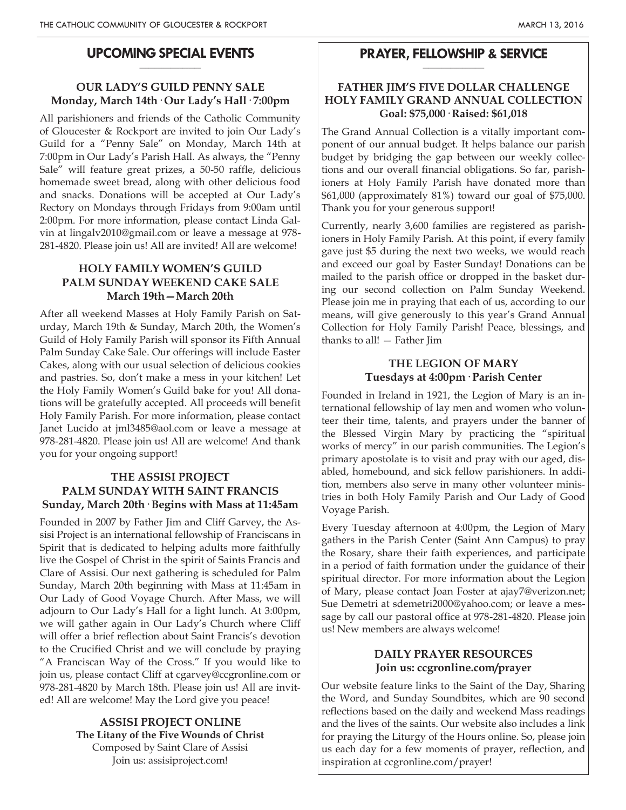#### **UPCOMING SPECIAL EVENTS \_\_\_\_\_\_\_\_\_\_\_\_\_\_\_\_\_\_\_\_**

## **OUR LADY'S GUILD PENNY SALE Monday, March 14th· Our Lady's Hall· 7:00pm**

All parishioners and friends of the Catholic Community of Gloucester & Rockport are invited to join Our Lady's Guild for a "Penny Sale" on Monday, March 14th at 7:00pm in Our Lady's Parish Hall. As always, the "Penny Sale" will feature great prizes, a 50-50 raffle, delicious homemade sweet bread, along with other delicious food and snacks. Donations will be accepted at Our Lady's Rectory on Mondays through Fridays from 9:00am until 2:00pm. For more information, please contact Linda Galvin at lingalv2010@gmail.com or leave a message at 978- 281-4820. Please join us! All are invited! All are welcome!

# **HOLY FAMILY WOMEN'S GUILD PALM SUNDAY WEEKEND CAKE SALE March 19th—March 20th**

After all weekend Masses at Holy Family Parish on Saturday, March 19th & Sunday, March 20th, the Women's Guild of Holy Family Parish will sponsor its Fifth Annual Palm Sunday Cake Sale. Our offerings will include Easter Cakes, along with our usual selection of delicious cookies and pastries. So, don't make a mess in your kitchen! Let the Holy Family Women's Guild bake for you! All donations will be gratefully accepted. All proceeds will benefit Holy Family Parish. For more information, please contact Janet Lucido at jml3485@aol.com or leave a message at 978-281-4820. Please join us! All are welcome! And thank you for your ongoing support!

# **THE ASSISI PROJECT PALM SUNDAY WITH SAINT FRANCIS Sunday, March 20th· Begins with Mass at 11:45am**

Founded in 2007 by Father Jim and Cliff Garvey, the Assisi Project is an international fellowship of Franciscans in Spirit that is dedicated to helping adults more faithfully live the Gospel of Christ in the spirit of Saints Francis and Clare of Assisi. Our next gathering is scheduled for Palm Sunday, March 20th beginning with Mass at 11:45am in Our Lady of Good Voyage Church. After Mass, we will adjourn to Our Lady's Hall for a light lunch. At 3:00pm, we will gather again in Our Lady's Church where Cliff will offer a brief reflection about Saint Francis's devotion to the Crucified Christ and we will conclude by praying "A Franciscan Way of the Cross." If you would like to join us, please contact Cliff at cgarvey@ccgronline.com or 978-281-4820 by March 18th. Please join us! All are invited! All are welcome! May the Lord give you peace!

> **ASSISI PROJECT ONLINE The Litany of the Five Wounds of Christ** Composed by Saint Clare of Assisi Join us: assisiproject.com!

#### **PRAYER, FELLOWSHIP & SERVICE \_\_\_\_\_\_\_\_\_\_\_\_\_\_\_\_\_\_\_\_**

### **FATHER JIM'S FIVE DOLLAR CHALLENGE HOLY FAMILY GRAND ANNUAL COLLECTION Goal: \$75,000· Raised: \$61,018**

The Grand Annual Collection is a vitally important component of our annual budget. It helps balance our parish budget by bridging the gap between our weekly collections and our overall financial obligations. So far, parishioners at Holy Family Parish have donated more than \$61,000 (approximately 81%) toward our goal of \$75,000. Thank you for your generous support!

Currently, nearly 3,600 families are registered as parishioners in Holy Family Parish. At this point, if every family gave just \$5 during the next two weeks, we would reach and exceed our goal by Easter Sunday! Donations can be mailed to the parish office or dropped in the basket during our second collection on Palm Sunday Weekend. Please join me in praying that each of us, according to our means, will give generously to this year's Grand Annual Collection for Holy Family Parish! Peace, blessings, and thanks to all! — Father Jim

# **THE LEGION OF MARY Tuesdays at 4:00pm· Parish Center**

Founded in Ireland in 1921, the Legion of Mary is an international fellowship of lay men and women who volunteer their time, talents, and prayers under the banner of the Blessed Virgin Mary by practicing the "spiritual works of mercy" in our parish communities. The Legion's primary apostolate is to visit and pray with our aged, disabled, homebound, and sick fellow parishioners. In addition, members also serve in many other volunteer ministries in both Holy Family Parish and Our Lady of Good Voyage Parish.

Every Tuesday afternoon at 4:00pm, the Legion of Mary gathers in the Parish Center (Saint Ann Campus) to pray the Rosary, share their faith experiences, and participate in a period of faith formation under the guidance of their spiritual director. For more information about the Legion of Mary, please contact Joan Foster at ajay7@verizon.net; Sue Demetri at sdemetri2000@yahoo.com; or leave a message by call our pastoral office at 978-281-4820. Please join us! New members are always welcome!

### **DAILY PRAYER RESOURCES Join us: ccgronline.com/prayer**

Our website feature links to the Saint of the Day, Sharing the Word, and Sunday Soundbites, which are 90 second reflections based on the daily and weekend Mass readings and the lives of the saints. Our website also includes a link for praying the Liturgy of the Hours online. So, please join us each day for a few moments of prayer, reflection, and inspiration at ccgronline.com/prayer!